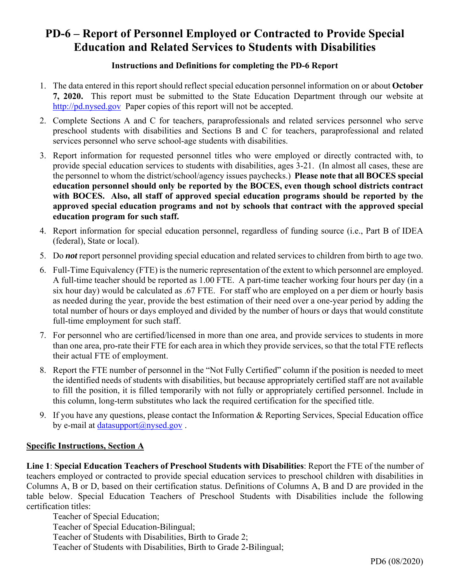# **PD-6 – Report of Personnel Employed or Contracted to Provide Special Education and Related Services to Students with Disabilities**

#### **Instructions and Definitions for completing the PD-6 Report**

- 1. The data entered in this report should reflect special education personnel information on or about **October 7, 2020.** This report must be submitted to the State Education Department through our website at http://pd.nysed.gov Paper copies of this report will not be accepted.
- 2. Complete Sections A and C for teachers, paraprofessionals and related services personnel who serve preschool students with disabilities and Sections B and C for teachers, paraprofessional and related services personnel who serve school-age students with disabilities.
- 3. Report information for requested personnel titles who were employed or directly contracted with, to provide special education services to students with disabilities, ages 3-21. (In almost all cases, these are the personnel to whom the district/school/agency issues paychecks.) **Please note that all BOCES special education personnel should only be reported by the BOCES, even though school districts contract with BOCES. Also, all staff of approved special education programs should be reported by the approved special education programs and not by schools that contract with the approved special education program for such staff.**
- 4. Report information for special education personnel, regardless of funding source (i.e., Part B of IDEA (federal), State or local).
- 5. Do *not* report personnel providing special education and related services to children from birth to age two.
- 6. Full-Time Equivalency (FTE) is the numeric representation of the extent to which personnel are employed. A full-time teacher should be reported as 1.00 FTE. A part-time teacher working four hours per day (in a six hour day) would be calculated as .67 FTE. For staff who are employed on a per diem or hourly basis as needed during the year, provide the best estimation of their need over a one-year period by adding the total number of hours or days employed and divided by the number of hours or days that would constitute full-time employment for such staff.
- 7. For personnel who are certified/licensed in more than one area, and provide services to students in more than one area, pro-rate their FTE for each area in which they provide services, so that the total FTE reflects their actual FTE of employment.
- 8. Report the FTE number of personnel in the "Not Fully Certified" column if the position is needed to meet the identified needs of students with disabilities, but because appropriately certified staff are not available to fill the position, it is filled temporarily with not fully or appropriately certified personnel. Include in this column, long-term substitutes who lack the required certification for the specified title.
- 9. If you have any questions, please contact the Information & Reporting Services, Special Education office by e-mail at datasupport $(\widehat{\omega}$ nysed.gov.

#### **Specific Instructions, Section A**

**Line 1**: **Special Education Teachers of Preschool Students with Disabilities**: Report the FTE of the number of teachers employed or contracted to provide special education services to preschool children with disabilities in Columns A, B or D, based on their certification status. Definitions of Columns A, B and D are provided in the table below. Special Education Teachers of Preschool Students with Disabilities include the following certification titles:

Teacher of Special Education; Teacher of Special Education-Bilingual; Teacher of Students with Disabilities, Birth to Grade 2; Teacher of Students with Disabilities, Birth to Grade 2-Bilingual;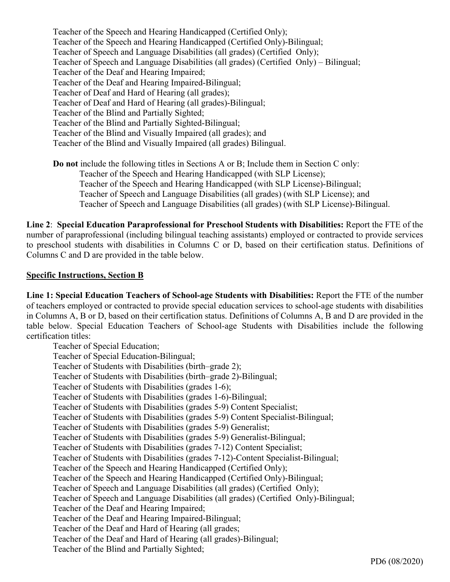Teacher of the Speech and Hearing Handicapped (Certified Only); Teacher of the Speech and Hearing Handicapped (Certified Only)-Bilingual; Teacher of Speech and Language Disabilities (all grades) (Certified Only); Teacher of Speech and Language Disabilities (all grades) (Certified Only) – Bilingual; Teacher of the Deaf and Hearing Impaired; Teacher of the Deaf and Hearing Impaired-Bilingual; Teacher of Deaf and Hard of Hearing (all grades); Teacher of Deaf and Hard of Hearing (all grades)-Bilingual; Teacher of the Blind and Partially Sighted; Teacher of the Blind and Partially Sighted-Bilingual; Teacher of the Blind and Visually Impaired (all grades); and Teacher of the Blind and Visually Impaired (all grades) Bilingual.

**Do not** include the following titles in Sections A or B; Include them in Section C only: Teacher of the Speech and Hearing Handicapped (with SLP License); Teacher of the Speech and Hearing Handicapped (with SLP License)-Bilingual; Teacher of Speech and Language Disabilities (all grades) (with SLP License); and Teacher of Speech and Language Disabilities (all grades) (with SLP License)-Bilingual.

**Line 2**: **Special Education Paraprofessional for Preschool Students with Disabilities:** Report the FTE of the number of paraprofessional (including bilingual teaching assistants) employed or contracted to provide services to preschool students with disabilities in Columns C or D, based on their certification status. Definitions of Columns C and D are provided in the table below.

#### **Specific Instructions, Section B**

**Line 1: Special Education Teachers of School-age Students with Disabilities:** Report the FTE of the number of teachers employed or contracted to provide special education services to school-age students with disabilities in Columns A, B or D, based on their certification status. Definitions of Columns A, B and D are provided in the table below. Special Education Teachers of School-age Students with Disabilities include the following certification titles:

Teacher of Special Education; Teacher of Special Education-Bilingual; Teacher of Students with Disabilities (birth–grade 2); Teacher of Students with Disabilities (birth–grade 2)-Bilingual; Teacher of Students with Disabilities (grades 1-6); Teacher of Students with Disabilities (grades 1-6)-Bilingual; Teacher of Students with Disabilities (grades 5-9) Content Specialist; Teacher of Students with Disabilities (grades 5-9) Content Specialist-Bilingual; Teacher of Students with Disabilities (grades 5-9) Generalist; Teacher of Students with Disabilities (grades 5-9) Generalist-Bilingual; Teacher of Students with Disabilities (grades 7-12) Content Specialist; Teacher of Students with Disabilities (grades 7-12)-Content Specialist-Bilingual; Teacher of the Speech and Hearing Handicapped (Certified Only); Teacher of the Speech and Hearing Handicapped (Certified Only)-Bilingual; Teacher of Speech and Language Disabilities (all grades) (Certified Only); Teacher of Speech and Language Disabilities (all grades) (Certified Only)-Bilingual; Teacher of the Deaf and Hearing Impaired; Teacher of the Deaf and Hearing Impaired-Bilingual; Teacher of the Deaf and Hard of Hearing (all grades; Teacher of the Deaf and Hard of Hearing (all grades)-Bilingual; Teacher of the Blind and Partially Sighted;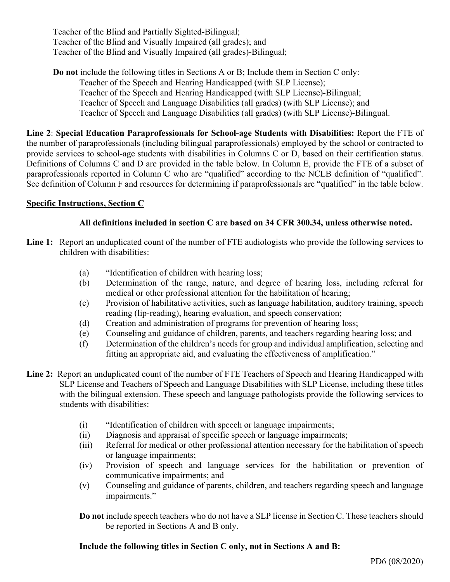Teacher of the Blind and Partially Sighted-Bilingual; Teacher of the Blind and Visually Impaired (all grades); and Teacher of the Blind and Visually Impaired (all grades)-Bilingual;

**Do not** include the following titles in Sections A or B; Include them in Section C only: Teacher of the Speech and Hearing Handicapped (with SLP License); Teacher of the Speech and Hearing Handicapped (with SLP License)-Bilingual; Teacher of Speech and Language Disabilities (all grades) (with SLP License); and Teacher of Speech and Language Disabilities (all grades) (with SLP License)-Bilingual.

**Line 2**: **Special Education Paraprofessionals for School-age Students with Disabilities:** Report the FTE of the number of paraprofessionals (including bilingual paraprofessionals) employed by the school or contracted to provide services to school-age students with disabilities in Columns C or D, based on their certification status. Definitions of Columns C and D are provided in the table below. In Column E, provide the FTE of a subset of paraprofessionals reported in Column C who are "qualified" according to the NCLB definition of "qualified". See definition of Column F and resources for determining if paraprofessionals are "qualified" in the table below.

# **Specific Instructions, Section C**

# **All definitions included in section C are based on 34 CFR 300.34, unless otherwise noted.**

- **Line 1:** Report an unduplicated count of the number of FTE audiologists who provide the following services to children with disabilities:
	- (a) "Identification of children with hearing loss;
	- (b) Determination of the range, nature, and degree of hearing loss, including referral for medical or other professional attention for the habilitation of hearing;
	- (c) Provision of habilitative activities, such as language habilitation, auditory training, speech reading (lip-reading), hearing evaluation, and speech conservation;
	- (d) Creation and administration of programs for prevention of hearing loss;
	- (e) Counseling and guidance of children, parents, and teachers regarding hearing loss; and
	- (f) Determination of the children's needs for group and individual amplification, selecting and fitting an appropriate aid, and evaluating the effectiveness of amplification."
- **Line 2:** Report an unduplicated count of the number of FTE Teachers of Speech and Hearing Handicapped with SLP License and Teachers of Speech and Language Disabilities with SLP License, including these titles with the bilingual extension. These speech and language pathologists provide the following services to students with disabilities:
	- (i) "Identification of children with speech or language impairments;
	- (ii) Diagnosis and appraisal of specific speech or language impairments;
	- (iii) Referral for medical or other professional attention necessary for the habilitation of speech or language impairments;
	- (iv) Provision of speech and language services for the habilitation or prevention of communicative impairments; and
	- (v) Counseling and guidance of parents, children, and teachers regarding speech and language impairments."

**Do not** include speech teachers who do not have a SLP license in Section C. These teachers should be reported in Sections A and B only.

#### **Include the following titles in Section C only, not in Sections A and B:**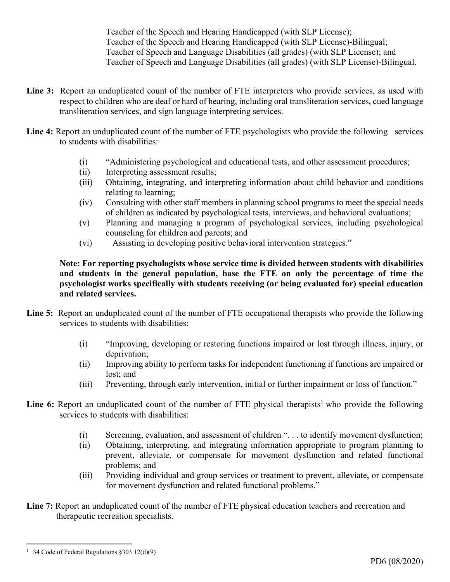Teacher of the Speech and Hearing Handicapped (with SLP License); Teacher of the Speech and Hearing Handicapped (with SLP License)-Bilingual; Teacher of Speech and Language Disabilities (all grades) (with SLP License); and Teacher of Speech and Language Disabilities (all grades) (with SLP License)-Bilingual.

- **Line 3:** Report an unduplicated count of the number of FTE interpreters who provide services, as used with respect to children who are deaf or hard of hearing, including oral transliteration services, cued language transliteration services, and sign language interpreting services.
- Line 4: Report an unduplicated count of the number of FTE psychologists who provide the following services to students with disabilities:
	- (i) "Administering psychological and educational tests, and other assessment procedures;
	- (ii) Interpreting assessment results;
	- (iii) Obtaining, integrating, and interpreting information about child behavior and conditions relating to learning;
	- (iv) Consulting with other staff members in planning school programs to meet the special needs of children as indicated by psychological tests, interviews, and behavioral evaluations;
	- (v) Planning and managing a program of psychological services, including psychological counseling for children and parents; and
	- (vi) Assisting in developing positive behavioral intervention strategies."

**Note: For reporting psychologists whose service time is divided between students with disabilities and students in the general population, base the FTE on only the percentage of time the psychologist works specifically with students receiving (or being evaluated for) special education and related services.** 

- **Line 5:** Report an unduplicated count of the number of FTE occupational therapists who provide the following services to students with disabilities:
	- (i) "Improving, developing or restoring functions impaired or lost through illness, injury, or deprivation;
	- (ii) Improving ability to perform tasks for independent functioning if functions are impaired or lost; and
	- (iii) Preventing, through early intervention, initial or further impairment or loss of function."
- **Line 6:** Report an unduplicated count of the number of FTE physical therapists<sup>1</sup> who provide the following services to students with disabilities:
	- (i) Screening, evaluation, and assessment of children ". . . to identify movement dysfunction;
	- (ii) Obtaining, interpreting, and integrating information appropriate to program planning to prevent, alleviate, or compensate for movement dysfunction and related functional problems; and
	- (iii) Providing individual and group services or treatment to prevent, alleviate, or compensate for movement dysfunction and related functional problems."
- Line 7: Report an unduplicated count of the number of FTE physical education teachers and recreation and therapeutic recreation specialists.

<sup>&</sup>lt;sup>1</sup> 34 Code of Federal Regulations  $§ 303.12(d)(9)$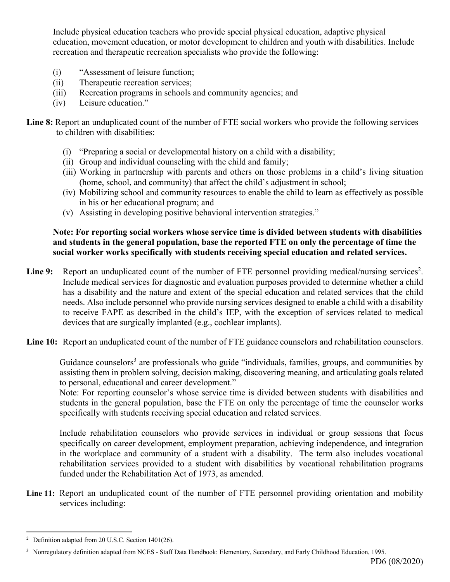Include physical education teachers who provide special physical education, adaptive physical education, movement education, or motor development to children and youth with disabilities. Include recreation and therapeutic recreation specialists who provide the following:

- (i) "Assessment of leisure function;
- (ii) Therapeutic recreation services;
- (iii) Recreation programs in schools and community agencies; and
- (iv) Leisure education."

**Line 8:** Report an unduplicated count of the number of FTE social workers who provide the following services to children with disabilities:

- (i) "Preparing a social or developmental history on a child with a disability;
- (ii) Group and individual counseling with the child and family;
- (iii) Working in partnership with parents and others on those problems in a child's living situation (home, school, and community) that affect the child's adjustment in school;
- (iv) Mobilizing school and community resources to enable the child to learn as effectively as possible in his or her educational program; and
- (v) Assisting in developing positive behavioral intervention strategies."

#### **Note: For reporting social workers whose service time is divided between students with disabilities and students in the general population, base the reported FTE on only the percentage of time the social worker works specifically with students receiving special education and related services.**

Line 9: Report an unduplicated count of the number of FTE personnel providing medical/nursing services<sup>2</sup>. Include medical services for diagnostic and evaluation purposes provided to determine whether a child has a disability and the nature and extent of the special education and related services that the child needs. Also include personnel who provide nursing services designed to enable a child with a disability to receive FAPE as described in the child's IEP, with the exception of services related to medical devices that are surgically implanted (e.g., cochlear implants).

**Line 10:** Report an unduplicated count of the number of FTE guidance counselors and rehabilitation counselors.

Guidance counselors<sup>3</sup> are professionals who guide "individuals, families, groups, and communities by assisting them in problem solving, decision making, discovering meaning, and articulating goals related to personal, educational and career development."

Note: For reporting counselor's whose service time is divided between students with disabilities and students in the general population, base the FTE on only the percentage of time the counselor works specifically with students receiving special education and related services.

 Include rehabilitation counselors who provide services in individual or group sessions that focus specifically on career development, employment preparation, achieving independence, and integration in the workplace and community of a student with a disability. The term also includes vocational rehabilitation services provided to a student with disabilities by vocational rehabilitation programs funded under the Rehabilitation Act of 1973, as amended.

**Line 11:** Report an unduplicated count of the number of FTE personnel providing orientation and mobility services including:

Definition adapted from 20 U.S.C. Section 1401(26).

<sup>&</sup>lt;sup>3</sup> Nonregulatory definition adapted from NCES - Staff Data Handbook: Elementary, Secondary, and Early Childhood Education, 1995.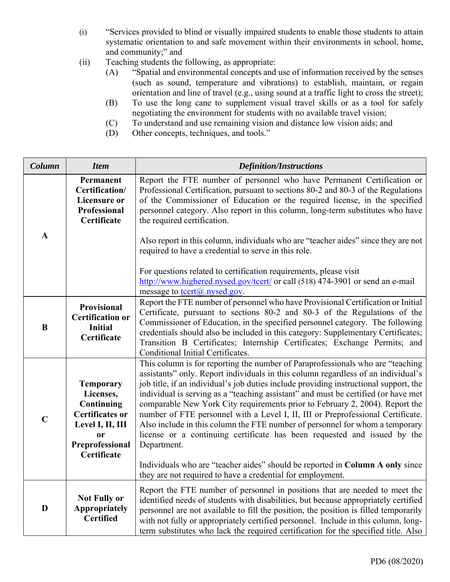- (i) "Services provided to blind or visually impaired students to enable those students to attain systematic orientation to and safe movement within their environments in school, home, and community;" and
- (ii) Teaching students the following, as appropriate:
	- (A) "Spatial and environmental concepts and use of information received by the senses (such as sound, temperature and vibrations) to establish, maintain, or regain orientation and line of travel (e.g., using sound at a traffic light to cross the street);
	- (B) To use the long cane to supplement visual travel skills or as a tool for safely negotiating the environment for students with no available travel vision;
	- (C) To understand and use remaining vision and distance low vision aids; and
	- (D) Other concepts, techniques, and tools."

| Column      | <b>Item</b>                                                                                                                                  | <b>Definition/Instructions</b>                                                                                                                                                                                                                                                                                                                                                                                                                                                                                                                                                                                                                                                                   |  |  |
|-------------|----------------------------------------------------------------------------------------------------------------------------------------------|--------------------------------------------------------------------------------------------------------------------------------------------------------------------------------------------------------------------------------------------------------------------------------------------------------------------------------------------------------------------------------------------------------------------------------------------------------------------------------------------------------------------------------------------------------------------------------------------------------------------------------------------------------------------------------------------------|--|--|
|             | Permanent<br>Certification/<br><b>Licensure or</b><br>Professional<br>Certificate                                                            | Report the FTE number of personnel who have Permanent Certification or<br>Professional Certification, pursuant to sections 80-2 and 80-3 of the Regulations<br>of the Commissioner of Education or the required license, in the specified<br>personnel category. Also report in this column, long-term substitutes who have<br>the required certification.                                                                                                                                                                                                                                                                                                                                       |  |  |
| $\mathbf A$ |                                                                                                                                              | Also report in this column, individuals who are "teacher aides" since they are not<br>required to have a credential to serve in this role.<br>For questions related to certification requirements, please visit                                                                                                                                                                                                                                                                                                                                                                                                                                                                                  |  |  |
|             |                                                                                                                                              | http://www.highered.nysed.gov/tcert/ or call (518) 474-3901 or send an e-mail<br>message to <u>tcert@</u> .nysed.gov.                                                                                                                                                                                                                                                                                                                                                                                                                                                                                                                                                                            |  |  |
| B           | Provisional<br><b>Certification or</b><br><b>Initial</b><br>Certificate                                                                      | Report the FTE number of personnel who have Provisional Certification or Initial<br>Certificate, pursuant to sections 80-2 and 80-3 of the Regulations of the<br>Commissioner of Education, in the specified personnel category. The following<br>credentials should also be included in this category: Supplementary Certificates;<br>Transition B Certificates; Internship Certificates; Exchange Permits; and<br>Conditional Initial Certificates.                                                                                                                                                                                                                                            |  |  |
| $\mathbf C$ | <b>Temporary</b><br>Licenses,<br>Continuing<br><b>Certificates or</b><br>Level I, II, III<br><sub>or</sub><br>Preprofessional<br>Certificate | This column is for reporting the number of Paraprofessionals who are "teaching<br>assistants" only. Report individuals in this column regardless of an individual's<br>job title, if an individual's job duties include providing instructional support, the<br>individual is serving as a "teaching assistant" and must be certified (or have met<br>comparable New York City requirements prior to February 2, 2004). Report the<br>number of FTE personnel with a Level I, II, III or Preprofessional Certificate.<br>Also include in this column the FTE number of personnel for whom a temporary<br>license or a continuing certificate has been requested and issued by the<br>Department. |  |  |
|             |                                                                                                                                              | Individuals who are "teacher aides" should be reported in Column A only since<br>they are not required to have a credential for employment.                                                                                                                                                                                                                                                                                                                                                                                                                                                                                                                                                      |  |  |
| D           | <b>Not Fully or</b><br><b>Appropriately</b><br><b>Certified</b>                                                                              | Report the FTE number of personnel in positions that are needed to meet the<br>identified needs of students with disabilities, but because appropriately certified<br>personnel are not available to fill the position, the position is filled temporarily<br>with not fully or appropriately certified personnel. Include in this column, long-<br>term substitutes who lack the required certification for the specified title. Also                                                                                                                                                                                                                                                           |  |  |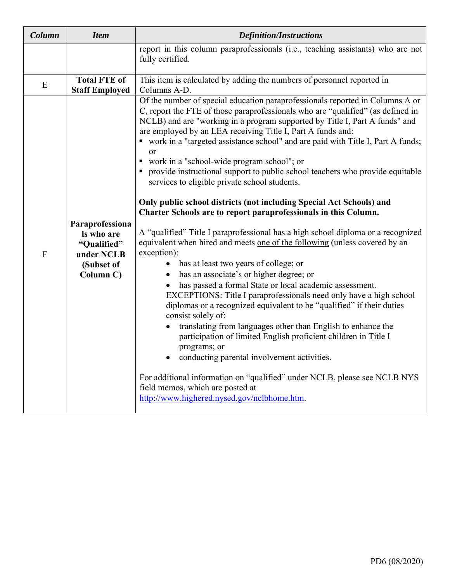| Column      | <b>Item</b>                                                                           | <b>Definition/Instructions</b>                                                                                                                                                                                                                                                                                                                                                                                                                                                                                                                                                                                                                                                                                                                                                                                                                                                                                                                                                                                                                                                                                                                                                                                                                                                                                                                                                                                                                                                                                                                                                                                  |  |  |  |
|-------------|---------------------------------------------------------------------------------------|-----------------------------------------------------------------------------------------------------------------------------------------------------------------------------------------------------------------------------------------------------------------------------------------------------------------------------------------------------------------------------------------------------------------------------------------------------------------------------------------------------------------------------------------------------------------------------------------------------------------------------------------------------------------------------------------------------------------------------------------------------------------------------------------------------------------------------------------------------------------------------------------------------------------------------------------------------------------------------------------------------------------------------------------------------------------------------------------------------------------------------------------------------------------------------------------------------------------------------------------------------------------------------------------------------------------------------------------------------------------------------------------------------------------------------------------------------------------------------------------------------------------------------------------------------------------------------------------------------------------|--|--|--|
|             |                                                                                       | report in this column paraprofessionals (i.e., teaching assistants) who are not<br>fully certified.                                                                                                                                                                                                                                                                                                                                                                                                                                                                                                                                                                                                                                                                                                                                                                                                                                                                                                                                                                                                                                                                                                                                                                                                                                                                                                                                                                                                                                                                                                             |  |  |  |
| E           | <b>Total FTE of</b><br><b>Staff Employed</b>                                          | This item is calculated by adding the numbers of personnel reported in<br>Columns A-D.                                                                                                                                                                                                                                                                                                                                                                                                                                                                                                                                                                                                                                                                                                                                                                                                                                                                                                                                                                                                                                                                                                                                                                                                                                                                                                                                                                                                                                                                                                                          |  |  |  |
| $\mathbf F$ | Paraprofessiona<br>Is who are<br>"Qualified"<br>under NCLB<br>(Subset of<br>Column C) | Of the number of special education paraprofessionals reported in Columns A or<br>C, report the FTE of those paraprofessionals who are "qualified" (as defined in<br>NCLB) and are "working in a program supported by Title I, Part A funds" and<br>are employed by an LEA receiving Title I, Part A funds and:<br>• work in a "targeted assistance school" and are paid with Title I, Part A funds;<br>or<br>• work in a "school-wide program school"; or<br>• provide instructional support to public school teachers who provide equitable<br>services to eligible private school students.<br>Only public school districts (not including Special Act Schools) and<br>Charter Schools are to report paraprofessionals in this Column.<br>A "qualified" Title I paraprofessional has a high school diploma or a recognized<br>equivalent when hired and meets one of the following (unless covered by an<br>exception):<br>has at least two years of college; or<br>has an associate's or higher degree; or<br>has passed a formal State or local academic assessment.<br>EXCEPTIONS: Title I paraprofessionals need only have a high school<br>diplomas or a recognized equivalent to be "qualified" if their duties<br>consist solely of:<br>translating from languages other than English to enhance the<br>participation of limited English proficient children in Title I<br>programs; or<br>conducting parental involvement activities.<br>For additional information on "qualified" under NCLB, please see NCLB NYS<br>field memos, which are posted at<br>http://www.highered.nysed.gov/nclbhome.htm. |  |  |  |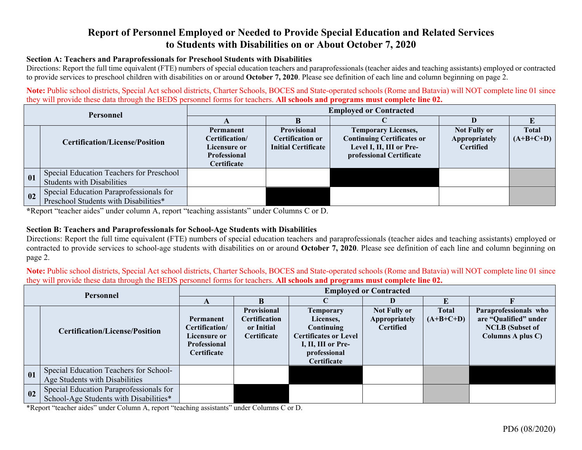# **Report of Personnel Employed or Needed to Provide Special Education and Related Services to Students with Disabilities on or About October 7, 2020**

#### **Section A: Teachers and Paraprofessionals for Preschool Students with Disabilities**

Directions: Report the full time equivalent (FTE) numbers of special education teachers and paraprofessionals (teacher aides and teaching assistants) employed or contracted to provide services to preschool children with disabilities on or around **October 7, 2020**. Please see definition of each line and column beginning on page 2.

**Note:** Public school districts, Special Act school districts, Charter Schools, BOCES and State-operated schools (Rome and Batavia) will NOT complete line 01 since they will provide these data through the BEDS personnel forms for teachers. **All schools and programs must complete line 02.** 

| <b>Personnel</b> |                                                                                  | <b>Employed or Contracted</b>                                                     |                                                                             |                                                                                                                         |                                                          |                             |  |  |  |
|------------------|----------------------------------------------------------------------------------|-----------------------------------------------------------------------------------|-----------------------------------------------------------------------------|-------------------------------------------------------------------------------------------------------------------------|----------------------------------------------------------|-----------------------------|--|--|--|
|                  |                                                                                  |                                                                                   |                                                                             |                                                                                                                         |                                                          |                             |  |  |  |
|                  | <b>Certification/License/Position</b>                                            | Permanent<br>Certification/<br>Licensure or<br>Professional<br><b>Certificate</b> | <b>Provisional</b><br><b>Certification or</b><br><b>Initial Certificate</b> | <b>Temporary Licenses,</b><br><b>Continuing Certificates or</b><br>Level I, II, III or Pre-<br>professional Certificate | <b>Not Fully or</b><br>Appropriately<br><b>Certified</b> | <b>Total</b><br>$(A+B+C+D)$ |  |  |  |
| 01               | Special Education Teachers for Preschool<br><b>Students with Disabilities</b>    |                                                                                   |                                                                             |                                                                                                                         |                                                          |                             |  |  |  |
| 02               | Special Education Paraprofessionals for<br>Preschool Students with Disabilities* |                                                                                   |                                                                             |                                                                                                                         |                                                          |                             |  |  |  |

**\***Report "teacher aides" under column A, report "teaching assistants" under Columns C or D.

#### **Section B: Teachers and Paraprofessionals for School-Age Students with Disabilities**

Directions: Report the full time equivalent (FTE) numbers of special education teachers and paraprofessionals (teacher aides and teaching assistants) employed or contracted to provide services to school-age students with disabilities on or around **October 7, 2020**. Please see definition of each line and column beginning on page 2.

**Note:** Public school districts, Special Act school districts, Charter Schools, BOCES and State-operated schools (Rome and Batavia) will NOT complete line 01 since they will provide these data through the BEDS personnel forms for teachers. **All schools and programs must complete line 02.**

| Personnel |                                                                                   | <b>Employed or Contracted</b>                                                     |                                                                                |                                                                                                                                  |                                                          |                             |                                                                                               |  |
|-----------|-----------------------------------------------------------------------------------|-----------------------------------------------------------------------------------|--------------------------------------------------------------------------------|----------------------------------------------------------------------------------------------------------------------------------|----------------------------------------------------------|-----------------------------|-----------------------------------------------------------------------------------------------|--|
|           |                                                                                   |                                                                                   |                                                                                |                                                                                                                                  |                                                          |                             |                                                                                               |  |
|           | <b>Certification/License/Position</b>                                             | Permanent<br>Certification/<br>Licensure or<br><b>Professional</b><br>Certificate | <b>Provisional</b><br><b>Certification</b><br>or Initial<br><b>Certificate</b> | Temporary<br>Licenses,<br>Continuing<br><b>Certificates or Level</b><br>I, II, III or Pre-<br>professional<br><b>Certificate</b> | <b>Not Fully or</b><br>Appropriately<br><b>Certified</b> | <b>Total</b><br>$(A+B+C+D)$ | Paraprofessionals who<br>are "Qualified" under<br><b>NCLB</b> (Subset of<br>Columns A plus C) |  |
| 01        | Special Education Teachers for School-<br>Age Students with Disabilities          |                                                                                   |                                                                                |                                                                                                                                  |                                                          |                             |                                                                                               |  |
| 02        | Special Education Paraprofessionals for<br>School-Age Students with Disabilities* |                                                                                   |                                                                                |                                                                                                                                  |                                                          |                             |                                                                                               |  |

\*Report "teacher aides" under Column A, report "teaching assistants" under Columns C or D.